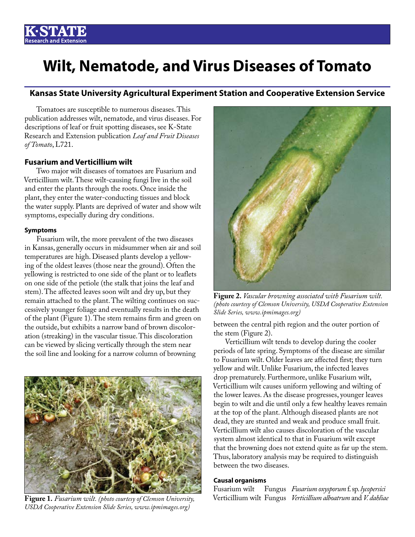# **Wilt, Nematode, and Virus Diseases of Tomato**

# **Kansas State University Agricultural Experiment Station and Cooperative Extension Service**

Tomatoes are susceptible to numerous diseases. This publication addresses wilt, nematode, and virus diseases. For descriptions of leaf or fruit spotting diseases, see K-State Research and Extension publication *Leaf and Fruit Diseases of Tomato*, L721.

# **Fusarium and Verticillium wilt**

Two major wilt diseases of tomatoes are Fusarium and Verticillium wilt. These wilt-causing fungi live in the soil and enter the plants through the roots. Once inside the plant, they enter the water-conducting tissues and block the water supply. Plants are deprived of water and show wilt symptoms, especially during dry conditions.

# **Symptoms**

Fusarium wilt, the more prevalent of the two diseases in Kansas, generally occurs in midsummer when air and soil temperatures are high. Diseased plants develop a yellowing of the oldest leaves (those near the ground). Often the yellowing is restricted to one side of the plant or to leaflets on one side of the petiole (the stalk that joins the leaf and stem). The affected leaves soon wilt and dry up, but they remain attached to the plant. The wilting continues on successively younger foliage and eventually results in the death of the plant (Figure 1). The stem remains firm and green on the outside, but exhibits a narrow band of brown discoloration (streaking) in the vascular tissue. This discoloration can be viewed by slicing vertically through the stem near the soil line and looking for a narrow column of browning



**Figure 1.** Fusarium wilt. (photo courtesy of Clemson University, *USDA Cooperative Extension Slide Series, www.ipmimages.org)*



**Figure 2.** *Vascular browning associated with Fusarium wilt. (photo courtesy of Clemson University, USDA Cooperative Extension Slide Series[, www.ipmimages.org\)](https://www.ipmimages.org/)*

between the central pith region and the outer portion of the stem (Figure 2).

Verticillium wilt tends to develop during the cooler periods of late spring. Symptoms of the disease are similar to Fusarium wilt. Older leaves are affected first; they turn yellow and wilt. Unlike Fusarium, the infected leaves drop prematurely. Furthermore, unlike Fusarium wilt, Verticillium wilt causes uniform yellowing and wilting of the lower leaves. As the disease progresses, younger leaves begin to wilt and die until only a few healthy leaves remain at the top of the plant. Although diseased plants are not dead, they are stunted and weak and produce small fruit. Verticillium wilt also causes discoloration of the vascular system almost identical to that in Fusarium wilt except that the browning does not extend quite as far up the stem. Thus, laboratory analysis may be required to distinguish between the two diseases.

# **Causal organisms**

Fusarium wilt Fungus *Fusarium oxysporum* f. sp. *lycopersici*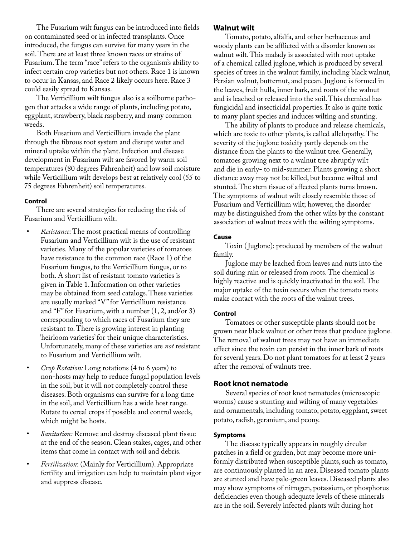The Fusarium wilt fungus can be introduced into fields on contaminated seed or in infected transplants. Once introduced, the fungus can survive for many years in the soil. There are at least three known races or strains of Fusarium. The term "race" refers to the organism's ability to infect certain crop varieties but not others. Race 1 is known to occur in Kansas, and Race 2 likely occurs here. Race 3 could easily spread to Kansas.

The Verticillium wilt fungus also is a soilborne pathogen that attacks a wide range of plants, including potato, eggplant, strawberry, black raspberry, and many common weeds.

Both Fusarium and Verticillium invade the plant through the fibrous root system and disrupt water and mineral uptake within the plant. Infection and disease development in Fusarium wilt are favored by warm soil temperatures (80 degrees Fahrenheit) and low soil moisture while Verticillium wilt develops best at relatively cool (55 to 75 degrees Fahrenheit) soil temperatures.

# **Control**

There are several strategies for reducing the risk of Fusarium and Verticillium wilt.

- *Resistance*: The most practical means of controlling Fusarium and Verticillium wilt is the use of resistant varieties. Many of the popular varieties of tomatoes have resistance to the common race (Race 1) of the Fusarium fungus, to the Verticillium fungus, or to both. A short list of resistant tomato varieties is given in Table 1. Information on other varieties may be obtained from seed catalogs. These varieties are usually marked "V" for Verticillium resistance and "F" for Fusarium, with a number (1, 2, and/or 3) corresponding to which races of Fusarium they are resistant to. There is growing interest in planting 'heirloom varieties' for their unique characteristics. Unfortunately, many of these varieties are *not* resistant to Fusarium and Verticillium wilt.
- *Crop Rotation:* Long rotations (4 to 6 years) to non-hosts may help to reduce fungal population levels in the soil, but it will not completely control these diseases. Both organisms can survive for a long time in the soil, and Verticillium has a wide host range. Rotate to cereal crops if possible and control weeds, which might be hosts.
- *Sanitation:* Remove and destroy diseased plant tissue at the end of the season. Clean stakes, cages, and other items that come in contact with soil and debris.
- *Fertilization*: (Mainly for Verticillium). Appropriate fertility and irrigation can help to maintain plant vigor and suppress disease.

# **Walnut wilt**

Tomato, potato, alfalfa, and other herbaceous and woody plants can be afflicted with a disorder known as walnut wilt. This malady is associated with root uptake of a chemical called juglone, which is produced by several species of trees in the walnut family, including black walnut, Persian walnut, butternut, and pecan. Juglone is formed in the leaves, fruit hulls, inner bark, and roots of the walnut and is leached or released into the soil. This chemical has fungicidal and insecticidal properties. It also is quite toxic to many plant species and induces wilting and stunting.

The ability of plants to produce and release chemicals, which are toxic to other plants, is called allelopathy. The severity of the juglone toxicity partly depends on the distance from the plants to the walnut tree. Generally, tomatoes growing next to a walnut tree abruptly wilt and die in early- to mid-summer. Plants growing a short distance away may not be killed, but become wilted and stunted. The stem tissue of affected plants turns brown. The symptoms of walnut wilt closely resemble those of Fusarium and Verticillium wilt; however, the disorder may be distinguished from the other wilts by the constant association of walnut trees with the wilting symptoms.

#### **Cause**

Toxin ( Juglone): produced by members of the walnut family.

Juglone may be leached from leaves and nuts into the soil during rain or released from roots. The chemical is highly reactive and is quickly inactivated in the soil. The major uptake of the toxin occurs when the tomato roots make contact with the roots of the walnut trees.

#### **Control**

Tomatoes or other susceptible plants should not be grown near black walnut or other trees that produce juglone. The removal of walnut trees may not have an immediate effect since the toxin can persist in the inner bark of roots for several years. Do not plant tomatoes for at least 2 years after the removal of walnuts tree.

# **Root knot nematode**

Several species of root knot nematodes (microscopic worms) cause a stunting and wilting of many vegetables and ornamentals, including tomato, potato, eggplant, sweet potato, radish, geranium, and peony.

#### **Symptoms**

The disease typically appears in roughly circular patches in a field or garden, but may become more uniformly distributed when susceptible plants, such as tomato, are continuously planted in an area. Diseased tomato plants are stunted and have pale-green leaves. Diseased plants also may show symptoms of nitrogen, potassium, or phosphorus deficiencies even though adequate levels of these minerals are in the soil. Severely infected plants wilt during hot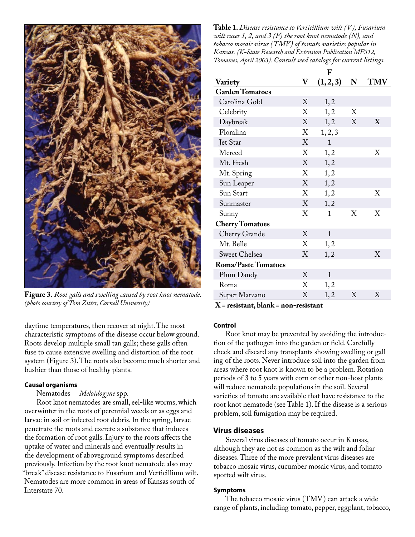

**Figure 3.** *Root galls and swelling caused by root knot nematode. (photo courtesy of Tom Zitter, Cornell University)*

daytime temperatures, then recover at night. The most characteristic symptoms of the disease occur below ground. Roots develop multiple small tan galls; these galls often fuse to cause extensive swelling and distortion of the root system (Figure 3). The roots also become much shorter and bushier than those of healthy plants.

# **Causal organisms**

# Nematodes *Meloidogyne* spp.

Root knot nematodes are small, eel-like worms, which overwinter in the roots of perennial weeds or as eggs and larvae in soil or infected root debris. In the spring, larvae penetrate the roots and excrete a substance that induces the formation of root galls. Injury to the roots affects the uptake of water and minerals and eventually results in the development of aboveground symptoms described previously. Infection by the root knot nematode also may "break" disease resistance to Fusarium and Verticillium wilt. Nematodes are more common in areas of Kansas south of Interstate 70.

**Table 1.** *Disease resistance to Verticillium wilt (V), Fusarium wilt races 1, 2, and 3 (F) the root knot nematode (N), and tobacco mosaic virus (TMV) of tomato varieties popular in Kansas. (K-State Research and Extension Publication MF312, Tomatoes, April 2003). Consult seed catalogs for current listings.*

|                            |             | F            |   |     |
|----------------------------|-------------|--------------|---|-----|
| Variety                    | $\mathbf V$ | (1, 2, 3)    | N | TMV |
| <b>Garden Tomatoes</b>     |             |              |   |     |
| Carolina Gold              | X           | 1, 2         |   |     |
| Celebrity                  | X           | 1, 2         | X |     |
| Daybreak                   | X           | 1, 2         | X | X   |
| Floralina                  | X           | 1, 2, 3      |   |     |
| Jet Star                   | X           | $\mathbf{1}$ |   |     |
| Merced                     | X           | 1, 2         |   | Χ   |
| Mt. Fresh                  | X           | 1, 2         |   |     |
| Mt. Spring                 | X           | 1, 2         |   |     |
| Sun Leaper                 | X           | 1, 2         |   |     |
| Sun Start                  | X           | 1, 2         |   | Χ   |
| Sunmaster                  | X           | 1, 2         |   |     |
| Sunny                      | X           | 1            | X | Χ   |
| <b>Cherry Tomatoes</b>     |             |              |   |     |
| Cherry Grande              | X           | $\mathbf{1}$ |   |     |
| Mt. Belle                  | X           | 1, 2         |   |     |
| <b>Sweet Chelsea</b>       | X           | 1, 2         |   | X   |
| <b>Roma/Paste Tomatoes</b> |             |              |   |     |
| Plum Dandy                 | X           | $\mathbf{1}$ |   |     |
| Roma                       | X           | 1, 2         |   |     |
| Super Marzano              | X           | 1, 2         | Χ | Χ   |

**X = resistant, blank = non-resistant**

## **Control**

Root knot may be prevented by avoiding the introduction of the pathogen into the garden or field. Carefully check and discard any transplants showing swelling or galling of the roots. Never introduce soil into the garden from areas where root knot is known to be a problem. Rotation periods of 3 to 5 years with corn or other non-host plants will reduce nematode populations in the soil. Several varieties of tomato are available that have resistance to the root knot nematode (see Table 1). If the disease is a serious problem, soil fumigation may be required.

# **Virus diseases**

Several virus diseases of tomato occur in Kansas, although they are not as common as the wilt and foliar diseases. Three of the more prevalent virus diseases are tobacco mosaic virus, cucumber mosaic virus, and tomato spotted wilt virus.

### **Symptoms**

The tobacco mosaic virus (TMV) can attack a wide range of plants, including tomato, pepper, eggplant, tobacco,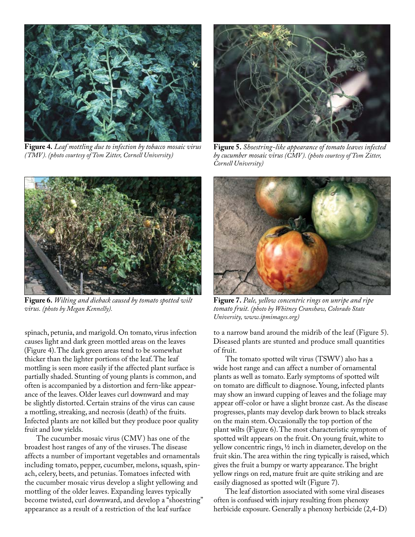

**Figure 4.** *Leaf mottling due to infection by tobacco mosaic virus (TMV). (photo courtesy of Tom Zitter, Cornell University)*



**Figure 5.** *Shoestring-like appearance of tomato leaves infected by cucumber mosaic virus (CMV). (photo courtesy of Tom Zitter, Cornell University)*



**Figure 6.** *Wilting and dieback caused by tomato spotted wilt virus. (photo by Megan Kennelly).*

spinach, petunia, and marigold. On tomato, virus infection causes light and dark green mottled areas on the leaves (Figure 4). The dark green areas tend to be somewhat thicker than the lighter portions of the leaf. The leaf mottling is seen more easily if the affected plant surface is partially shaded. Stunting of young plants is common, and often is accompanied by a distortion and fern-like appearance of the leaves. Older leaves curl downward and may be slightly distorted. Certain strains of the virus can cause a mottling, streaking, and necrosis (death) of the fruits. Infected plants are not killed but they produce poor quality fruit and low yields.

The cucumber mosaic virus (CMV) has one of the broadest host ranges of any of the viruses. The disease affects a number of important vegetables and ornamentals including tomato, pepper, cucumber, melons, squash, spinach, celery, beets, and petunias. Tomatoes infected with the cucumber mosaic virus develop a slight yellowing and mottling of the older leaves. Expanding leaves typically become twisted, curl downward, and develop a "shoestring" appearance as a result of a restriction of the leaf surface



**Figure 7.** *Pale, yellow concentric rings on unripe and ripe tomato fruit. (photo by Whitney Cranshaw, Colorado State University, www.ipmimages.org)*

to a narrow band around the midrib of the leaf (Figure 5). Diseased plants are stunted and produce small quantities of fruit.

The tomato spotted wilt virus (TSWV) also has a wide host range and can affect a number of ornamental plants as well as tomato. Early symptoms of spotted wilt on tomato are difficult to diagnose. Young, infected plants may show an inward cupping of leaves and the foliage may appear off-color or have a slight bronze cast. As the disease progresses, plants may develop dark brown to black streaks on the main stem. Occasionally the top portion of the plant wilts (Figure 6). The most characteristic symptom of spotted wilt appears on the fruit. On young fruit, white to yellow concentric rings, ½ inch in diameter, develop on the fruit skin. The area within the ring typically is raised, which gives the fruit a bumpy or warty appearance. The bright yellow rings on red, mature fruit are quite striking and are easily diagnosed as spotted wilt (Figure 7).

The leaf distortion associated with some viral diseases often is confused with injury resulting from phenoxy herbicide exposure. Generally a phenoxy herbicide (2,4-D)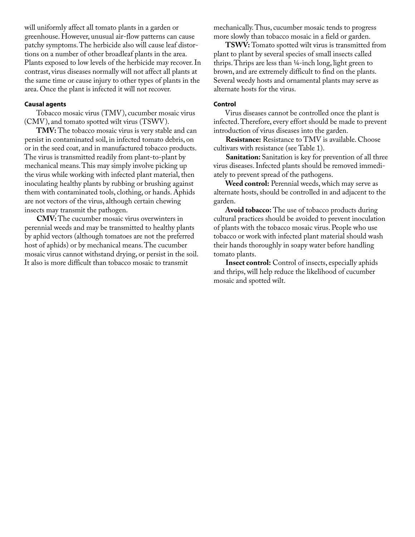will uniformly affect all tomato plants in a garden or greenhouse. However, unusual air-flow patterns can cause patchy symptoms. The herbicide also will cause leaf distortions on a number of other broadleaf plants in the area. Plants exposed to low levels of the herbicide may recover. In contrast, virus diseases normally will not affect all plants at the same time or cause injury to other types of plants in the area. Once the plant is infected it will not recover.

#### **Causal agents**

Tobacco mosaic virus (TMV), cucumber mosaic virus (CMV), and tomato spotted wilt virus (TSWV).

**TMV:** The tobacco mosaic virus is very stable and can persist in contaminated soil, in infected tomato debris, on or in the seed coat, and in manufactured tobacco products. The virus is transmitted readily from plant-to-plant by mechanical means. This may simply involve picking up the virus while working with infected plant material, then inoculating healthy plants by rubbing or brushing against them with contaminated tools, clothing, or hands. Aphids are not vectors of the virus, although certain chewing insects may transmit the pathogen.

**CMV:** The cucumber mosaic virus overwinters in perennial weeds and may be transmitted to healthy plants by aphid vectors (although tomatoes are not the preferred host of aphids) or by mechanical means. The cucumber mosaic virus cannot withstand drying, or persist in the soil. It also is more difficult than tobacco mosaic to transmit

mechanically. Thus, cucumber mosaic tends to progress more slowly than tobacco mosaic in a field or garden.

**TSWV:** Tomato spotted wilt virus is transmitted from plant to plant by several species of small insects called thrips. Thrips are less than ¼-inch long, light green to brown, and are extremely difficult to find on the plants. Several weedy hosts and ornamental plants may serve as alternate hosts for the virus.

### **Control**

Virus diseases cannot be controlled once the plant is infected. Therefore, every effort should be made to prevent introduction of virus diseases into the garden.

**Resistance:** Resistance to TMV is available. Choose cultivars with resistance (see Table 1).

**Sanitation:** Sanitation is key for prevention of all three virus diseases. Infected plants should be removed immediately to prevent spread of the pathogens.

**Weed control:** Perennial weeds, which may serve as alternate hosts, should be controlled in and adjacent to the garden.

**Avoid tobacco:** The use of tobacco products during cultural practices should be avoided to prevent inoculation of plants with the tobacco mosaic virus. People who use tobacco or work with infected plant material should wash their hands thoroughly in soapy water before handling tomato plants.

**Insect control:** Control of insects, especially aphids and thrips, will help reduce the likelihood of cucumber mosaic and spotted wilt.